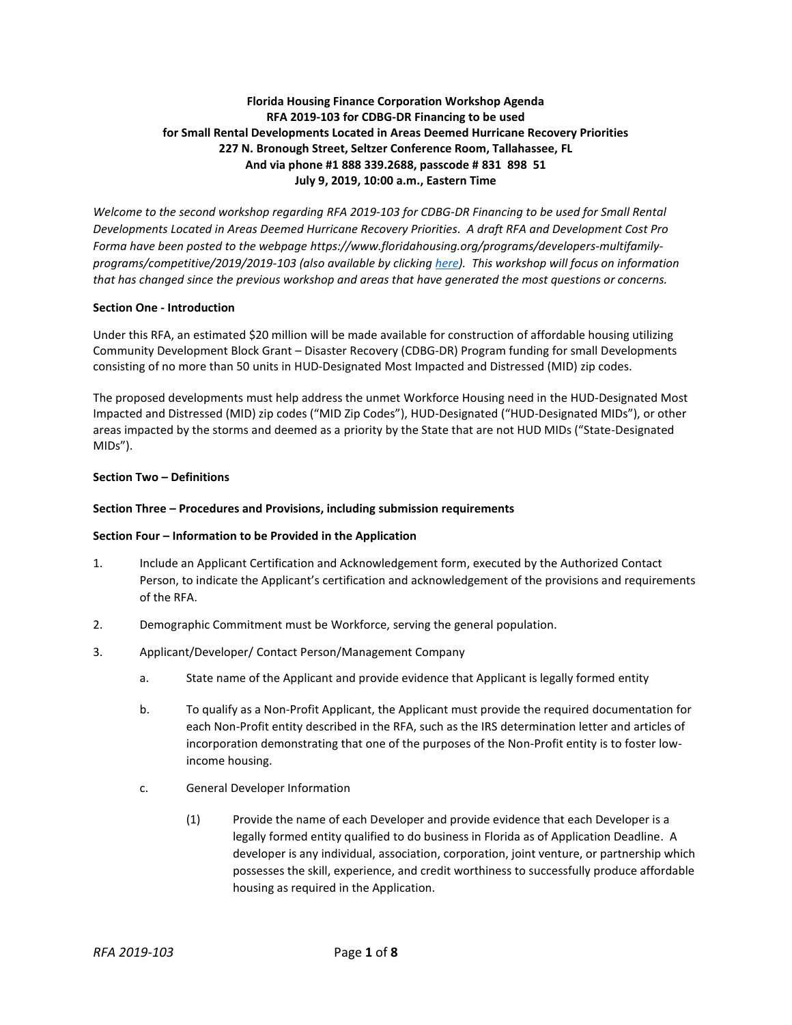# **Florida Housing Finance Corporation Workshop Agenda RFA 2019-103 for CDBG-DR Financing to be used for Small Rental Developments Located in Areas Deemed Hurricane Recovery Priorities 227 N. Bronough Street, Seltzer Conference Room, Tallahassee, FL And via phone #1 888 339.2688, passcode # 831 898 51 July 9, 2019, 10:00 a.m., Eastern Time**

*Welcome to the second workshop regarding RFA 2019-103 for CDBG-DR Financing to be used for Small Rental Developments Located in Areas Deemed Hurricane Recovery Priorities. A draft RFA and Development Cost Pro Forma have been posted to the webpage https://www.floridahousing.org/programs/developers-multifamilyprograms/competitive/2019/2019-103 (also available by clickin[g here\)](https://www.floridahousing.org/programs/developers-multifamily-programs/competitive/2019/2019-103). This workshop will focus on information that has changed since the previous workshop and areas that have generated the most questions or concerns.*

## **Section One - Introduction**

Under this RFA, an estimated \$20 million will be made available for construction of affordable housing utilizing Community Development Block Grant – Disaster Recovery (CDBG-DR) Program funding for small Developments consisting of no more than 50 units in HUD-Designated Most Impacted and Distressed (MID) zip codes.

The proposed developments must help address the unmet Workforce Housing need in the HUD-Designated Most Impacted and Distressed (MID) zip codes ("MID Zip Codes"), HUD-Designated ("HUD-Designated MIDs"), or other areas impacted by the storms and deemed as a priority by the State that are not HUD MIDs ("State-Designated MIDs").

## **Section Two – Definitions**

#### **Section Three – Procedures and Provisions, including submission requirements**

#### **Section Four – Information to be Provided in the Application**

- 1. Include an Applicant Certification and Acknowledgement form, executed by the Authorized Contact Person, to indicate the Applicant's certification and acknowledgement of the provisions and requirements of the RFA.
- 2. Demographic Commitment must be Workforce, serving the general population.
- 3. Applicant/Developer/ Contact Person/Management Company
	- a. State name of the Applicant and provide evidence that Applicant is legally formed entity
	- b. To qualify as a Non-Profit Applicant, the Applicant must provide the required documentation for each Non-Profit entity described in the RFA, such as the IRS determination letter and articles of incorporation demonstrating that one of the purposes of the Non-Profit entity is to foster lowincome housing.
	- c. General Developer Information
		- (1) Provide the name of each Developer and provide evidence that each Developer is a legally formed entity qualified to do business in Florida as of Application Deadline. A developer is any individual, association, corporation, joint venture, or partnership which possesses the skill, experience, and credit worthiness to successfully produce affordable housing as required in the Application.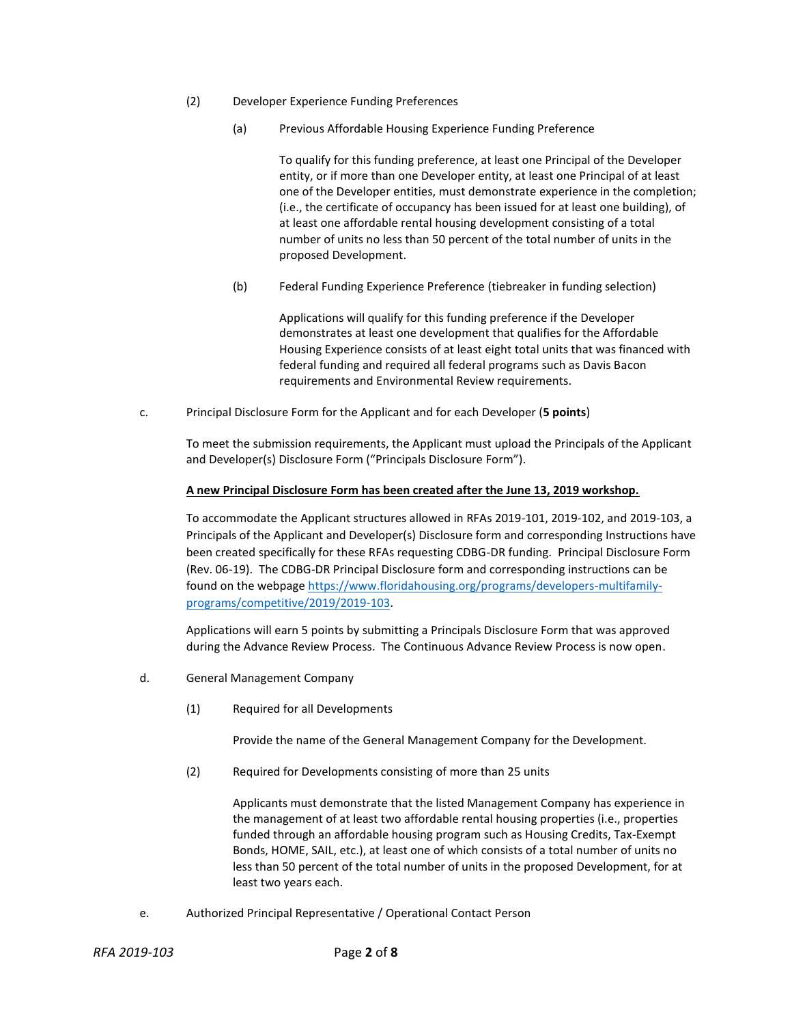- (2) Developer Experience Funding Preferences
	- (a) Previous Affordable Housing Experience Funding Preference

To qualify for this funding preference, at least one Principal of the Developer entity, or if more than one Developer entity, at least one Principal of at least one of the Developer entities, must demonstrate experience in the completion; (i.e., the certificate of occupancy has been issued for at least one building), of at least one affordable rental housing development consisting of a total number of units no less than 50 percent of the total number of units in the proposed Development.

(b) Federal Funding Experience Preference (tiebreaker in funding selection)

Applications will qualify for this funding preference if the Developer demonstrates at least one development that qualifies for the Affordable Housing Experience consists of at least eight total units that was financed with federal funding and required all federal programs such as Davis Bacon requirements and Environmental Review requirements.

c. Principal Disclosure Form for the Applicant and for each Developer (**5 points**)

To meet the submission requirements, the Applicant must upload the Principals of the Applicant and Developer(s) Disclosure Form ("Principals Disclosure Form").

## **A new Principal Disclosure Form has been created after the June 13, 2019 workshop.**

To accommodate the Applicant structures allowed in RFAs 2019-101, 2019-102, and 2019-103, a Principals of the Applicant and Developer(s) Disclosure form and corresponding Instructions have been created specifically for these RFAs requesting CDBG-DR funding. Principal Disclosure Form (Rev. 06-19). The CDBG-DR Principal Disclosure form and corresponding instructions can be found on the webpage [https://www.floridahousing.org/programs/developers-multifamily](https://www.floridahousing.org/programs/developers-multifamily-programs/competitive/2019/2019-103)[programs/competitive/2019/2019-103.](https://www.floridahousing.org/programs/developers-multifamily-programs/competitive/2019/2019-103)

Applications will earn 5 points by submitting a Principals Disclosure Form that was approved during the Advance Review Process. The Continuous Advance Review Process is now open.

- d. General Management Company
	- (1) Required for all Developments

Provide the name of the General Management Company for the Development.

(2) Required for Developments consisting of more than 25 units

Applicants must demonstrate that the listed Management Company has experience in the management of at least two affordable rental housing properties (i.e., properties funded through an affordable housing program such as Housing Credits, Tax-Exempt Bonds, HOME, SAIL, etc.), at least one of which consists of a total number of units no less than 50 percent of the total number of units in the proposed Development, for at least two years each.

e. Authorized Principal Representative / Operational Contact Person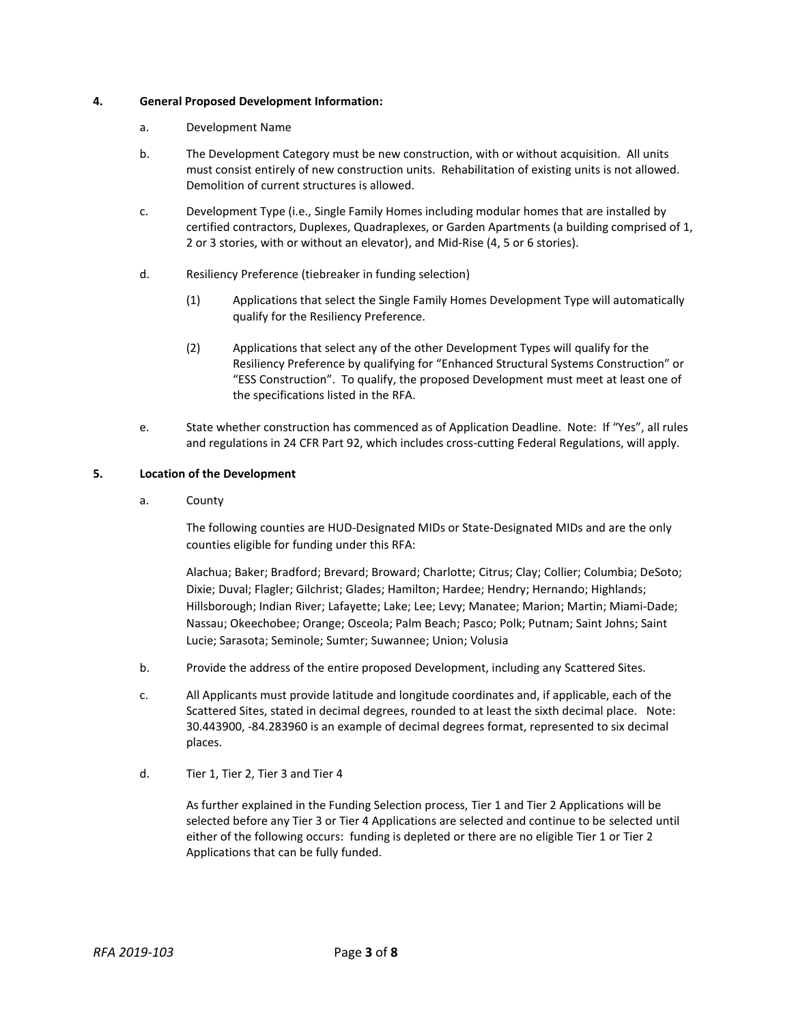### **4. General Proposed Development Information:**

- a. Development Name
- b. The Development Category must be new construction, with or without acquisition. All units must consist entirely of new construction units. Rehabilitation of existing units is not allowed. Demolition of current structures is allowed.
- c. Development Type (i.e., Single Family Homes including modular homes that are installed by certified contractors, Duplexes, Quadraplexes, or Garden Apartments (a building comprised of 1, 2 or 3 stories, with or without an elevator), and Mid-Rise (4, 5 or 6 stories).
- d. Resiliency Preference (tiebreaker in funding selection)
	- (1) Applications that select the Single Family Homes Development Type will automatically qualify for the Resiliency Preference.
	- (2) Applications that select any of the other Development Types will qualify for the Resiliency Preference by qualifying for "Enhanced Structural Systems Construction" or "ESS Construction". To qualify, the proposed Development must meet at least one of the specifications listed in the RFA.
- e. State whether construction has commenced as of Application Deadline. Note: If "Yes", all rules and regulations in 24 CFR Part 92, which includes cross-cutting Federal Regulations, will apply.

## **5. Location of the Development**

a. County

The following counties are HUD-Designated MIDs or State-Designated MIDs and are the only counties eligible for funding under this RFA:

Alachua; Baker; Bradford; Brevard; Broward; Charlotte; Citrus; Clay; Collier; Columbia; DeSoto; Dixie; Duval; Flagler; Gilchrist; Glades; Hamilton; Hardee; Hendry; Hernando; Highlands; Hillsborough; Indian River; Lafayette; Lake; Lee; Levy; Manatee; Marion; Martin; Miami-Dade; Nassau; Okeechobee; Orange; Osceola; Palm Beach; Pasco; Polk; Putnam; Saint Johns; Saint Lucie; Sarasota; Seminole; Sumter; Suwannee; Union; Volusia

- b. Provide the address of the entire proposed Development, including any Scattered Sites.
- c. All Applicants must provide latitude and longitude coordinates and, if applicable, each of the Scattered Sites, stated in decimal degrees, rounded to at least the sixth decimal place. Note: 30.443900, -84.283960 is an example of decimal degrees format, represented to six decimal places.
- d. Tier 1, Tier 2, Tier 3 and Tier 4

As further explained in the Funding Selection process, Tier 1 and Tier 2 Applications will be selected before any Tier 3 or Tier 4 Applications are selected and continue to be selected until either of the following occurs: funding is depleted or there are no eligible Tier 1 or Tier 2 Applications that can be fully funded.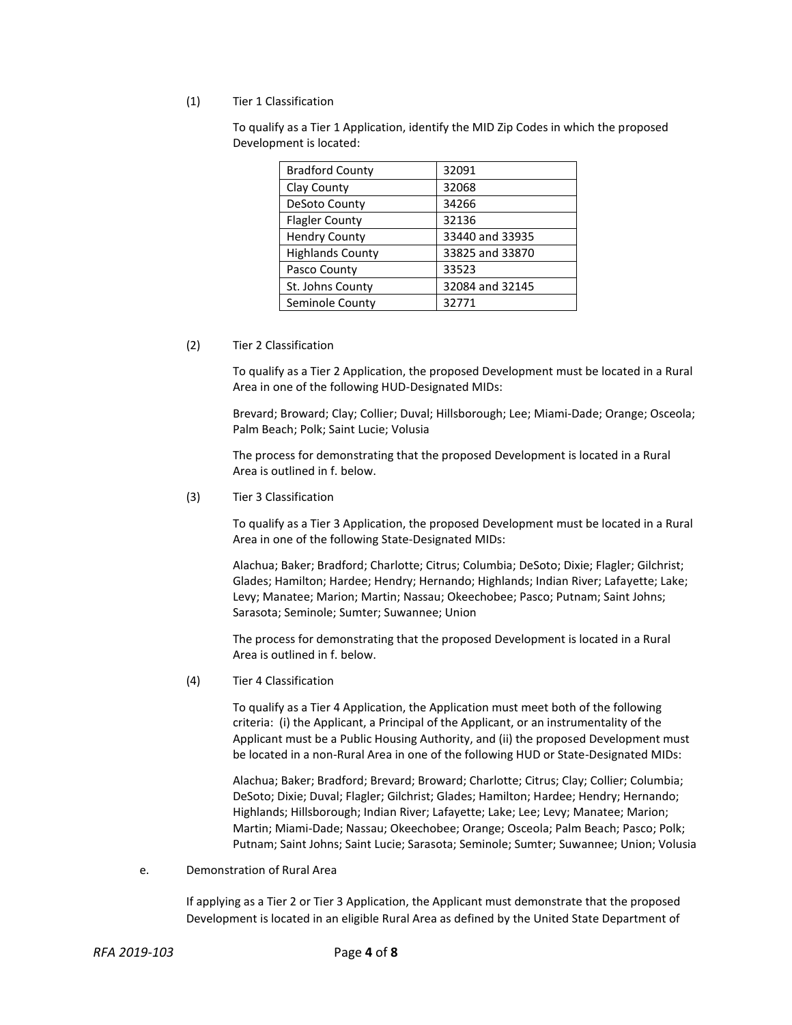### (1) Tier 1 Classification

To qualify as a Tier 1 Application, identify the MID Zip Codes in which the proposed Development is located:

| <b>Bradford County</b>  | 32091           |
|-------------------------|-----------------|
| Clay County             | 32068           |
| DeSoto County           | 34266           |
| <b>Flagler County</b>   | 32136           |
| <b>Hendry County</b>    | 33440 and 33935 |
| <b>Highlands County</b> | 33825 and 33870 |
| Pasco County            | 33523           |
| St. Johns County        | 32084 and 32145 |
| Seminole County         | 32771           |

(2) Tier 2 Classification

To qualify as a Tier 2 Application, the proposed Development must be located in a Rural Area in one of the following HUD-Designated MIDs:

Brevard; Broward; Clay; Collier; Duval; Hillsborough; Lee; Miami-Dade; Orange; Osceola; Palm Beach; Polk; Saint Lucie; Volusia

The process for demonstrating that the proposed Development is located in a Rural Area is outlined in f. below.

(3) Tier 3 Classification

To qualify as a Tier 3 Application, the proposed Development must be located in a Rural Area in one of the following State-Designated MIDs:

Alachua; Baker; Bradford; Charlotte; Citrus; Columbia; DeSoto; Dixie; Flagler; Gilchrist; Glades; Hamilton; Hardee; Hendry; Hernando; Highlands; Indian River; Lafayette; Lake; Levy; Manatee; Marion; Martin; Nassau; Okeechobee; Pasco; Putnam; Saint Johns; Sarasota; Seminole; Sumter; Suwannee; Union

The process for demonstrating that the proposed Development is located in a Rural Area is outlined in f. below.

(4) Tier 4 Classification

To qualify as a Tier 4 Application, the Application must meet both of the following criteria: (i) the Applicant, a Principal of the Applicant, or an instrumentality of the Applicant must be a Public Housing Authority, and (ii) the proposed Development must be located in a non-Rural Area in one of the following HUD or State-Designated MIDs:

Alachua; Baker; Bradford; Brevard; Broward; Charlotte; Citrus; Clay; Collier; Columbia; DeSoto; Dixie; Duval; Flagler; Gilchrist; Glades; Hamilton; Hardee; Hendry; Hernando; Highlands; Hillsborough; Indian River; Lafayette; Lake; Lee; Levy; Manatee; Marion; Martin; Miami-Dade; Nassau; Okeechobee; Orange; Osceola; Palm Beach; Pasco; Polk; Putnam; Saint Johns; Saint Lucie; Sarasota; Seminole; Sumter; Suwannee; Union; Volusia

e. Demonstration of Rural Area

If applying as a Tier 2 or Tier 3 Application, the Applicant must demonstrate that the proposed Development is located in an eligible Rural Area as defined by the United State Department of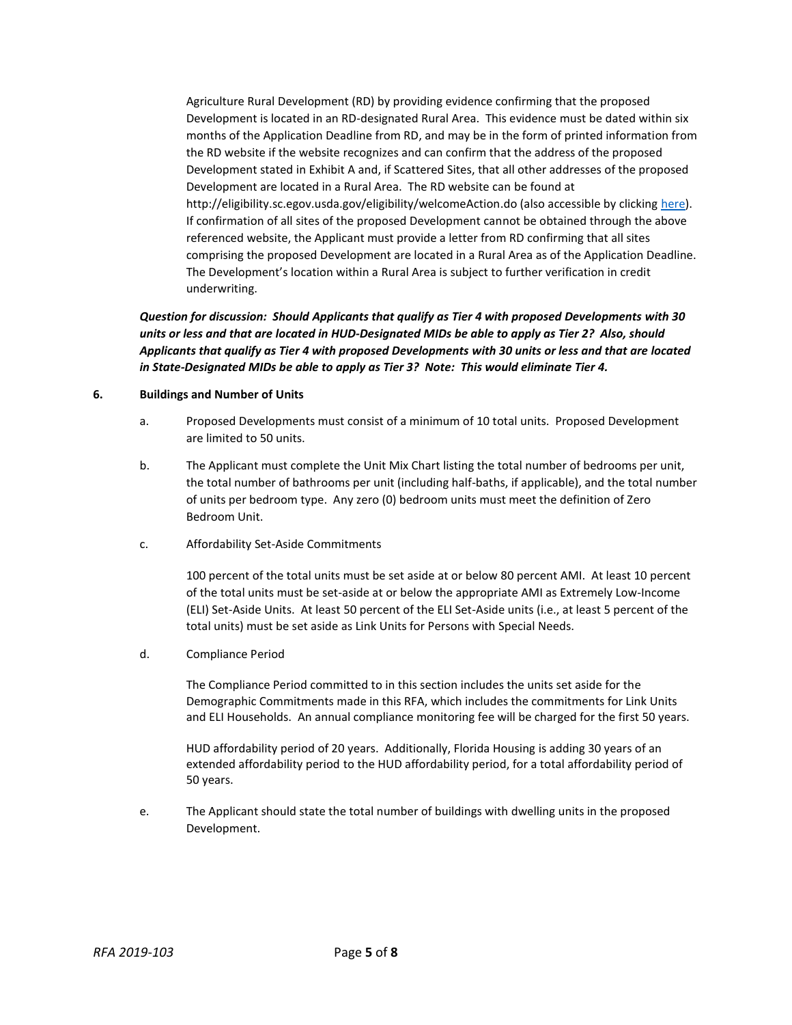Agriculture Rural Development (RD) by providing evidence confirming that the proposed Development is located in an RD-designated Rural Area. This evidence must be dated within six months of the Application Deadline from RD, and may be in the form of printed information from the RD website if the website recognizes and can confirm that the address of the proposed Development stated in Exhibit A and, if Scattered Sites, that all other addresses of the proposed Development are located in a Rural Area. The RD website can be found at http://eligibility.sc.egov.usda.gov/eligibility/welcomeAction.do (also accessible by clicking [here\)](http://eligibility.sc.egov.usda.gov/eligibility/welcomeAction.do). If confirmation of all sites of the proposed Development cannot be obtained through the above referenced website, the Applicant must provide a letter from RD confirming that all sites comprising the proposed Development are located in a Rural Area as of the Application Deadline. The Development's location within a Rural Area is subject to further verification in credit underwriting.

*Question for discussion: Should Applicants that qualify as Tier 4 with proposed Developments with 30 units or less and that are located in HUD-Designated MIDs be able to apply as Tier 2? Also, should Applicants that qualify as Tier 4 with proposed Developments with 30 units or less and that are located in State-Designated MIDs be able to apply as Tier 3? Note: This would eliminate Tier 4.*

### **6. Buildings and Number of Units**

- a. Proposed Developments must consist of a minimum of 10 total units. Proposed Development are limited to 50 units.
- b. The Applicant must complete the Unit Mix Chart listing the total number of bedrooms per unit, the total number of bathrooms per unit (including half-baths, if applicable), and the total number of units per bedroom type. Any zero (0) bedroom units must meet the definition of Zero Bedroom Unit.
- c. Affordability Set-Aside Commitments

100 percent of the total units must be set aside at or below 80 percent AMI. At least 10 percent of the total units must be set-aside at or below the appropriate AMI as Extremely Low-Income (ELI) Set-Aside Units. At least 50 percent of the ELI Set-Aside units (i.e., at least 5 percent of the total units) must be set aside as Link Units for Persons with Special Needs.

d. Compliance Period

The Compliance Period committed to in this section includes the units set aside for the Demographic Commitments made in this RFA, which includes the commitments for Link Units and ELI Households. An annual compliance monitoring fee will be charged for the first 50 years.

HUD affordability period of 20 years. Additionally, Florida Housing is adding 30 years of an extended affordability period to the HUD affordability period, for a total affordability period of 50 years.

e. The Applicant should state the total number of buildings with dwelling units in the proposed Development.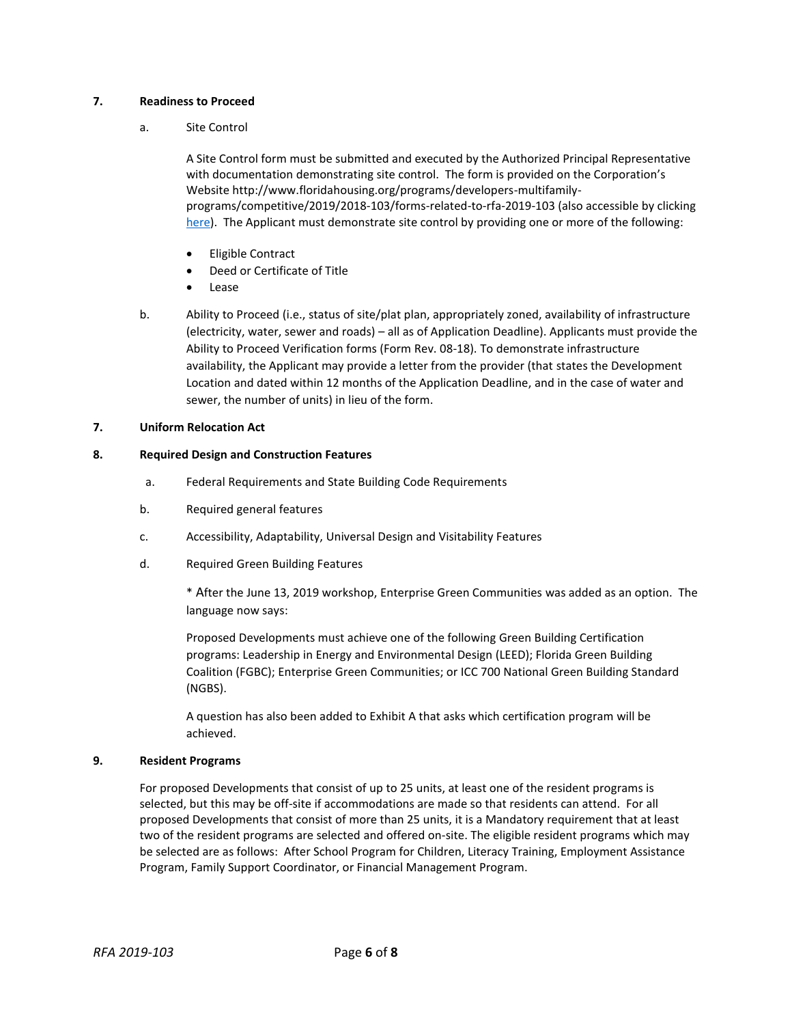### **7. Readiness to Proceed**

### a. Site Control

A Site Control form must be submitted and executed by the Authorized Principal Representative with documentation demonstrating site control. The form is provided on the Corporation's Website http://www.floridahousing.org/programs/developers-multifamilyprograms/competitive/2019/2018-103/forms-related-to-rfa-2019-103 (also accessible by clicking [here\)](http://www.floridahousing.org/programs/developers-multifamily-programs/competitive/2019/2018-103/forms-related-to-rfa-2019-103). The Applicant must demonstrate site control by providing one or more of the following:

- Eligible Contract
- Deed or Certificate of Title
- Lease
- b. Ability to Proceed (i.e., status of site/plat plan, appropriately zoned, availability of infrastructure (electricity, water, sewer and roads) – all as of Application Deadline). Applicants must provide the Ability to Proceed Verification forms (Form Rev. 08-18). To demonstrate infrastructure availability, the Applicant may provide a letter from the provider (that states the Development Location and dated within 12 months of the Application Deadline, and in the case of water and sewer, the number of units) in lieu of the form.

### **7. Uniform Relocation Act**

## **8. Required Design and Construction Features**

- a. Federal Requirements and State Building Code Requirements
- b. Required general features
- c. Accessibility, Adaptability, Universal Design and Visitability Features
- d. Required Green Building Features

\* After the June 13, 2019 workshop, Enterprise Green Communities was added as an option. The language now says:

Proposed Developments must achieve one of the following Green Building Certification programs: Leadership in Energy and Environmental Design (LEED); Florida Green Building Coalition (FGBC); Enterprise Green Communities; or ICC 700 National Green Building Standard (NGBS).

A question has also been added to Exhibit A that asks which certification program will be achieved.

#### **9. Resident Programs**

For proposed Developments that consist of up to 25 units, at least one of the resident programs is selected, but this may be off-site if accommodations are made so that residents can attend. For all proposed Developments that consist of more than 25 units, it is a Mandatory requirement that at least two of the resident programs are selected and offered on-site. The eligible resident programs which may be selected are as follows: After School Program for Children, Literacy Training, Employment Assistance Program, Family Support Coordinator, or Financial Management Program.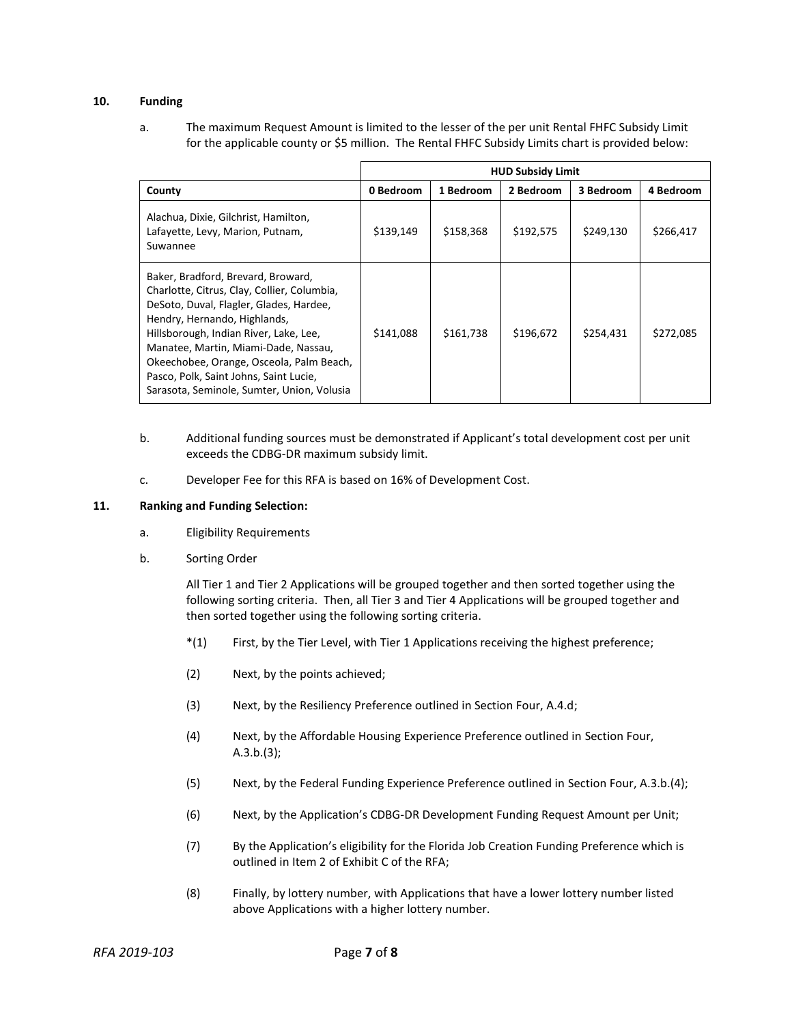## **10. Funding**

a. The maximum Request Amount is limited to the lesser of the per unit Rental FHFC Subsidy Limit for the applicable county or \$5 million. The Rental FHFC Subsidy Limits chart is provided below:

|                                                                                                                                                                                                                                                                                                                                                                                    | <b>HUD Subsidy Limit</b> |           |           |           |           |  |
|------------------------------------------------------------------------------------------------------------------------------------------------------------------------------------------------------------------------------------------------------------------------------------------------------------------------------------------------------------------------------------|--------------------------|-----------|-----------|-----------|-----------|--|
| County                                                                                                                                                                                                                                                                                                                                                                             | 0 Bedroom                | 1 Bedroom | 2 Bedroom | 3 Bedroom | 4 Bedroom |  |
| Alachua, Dixie, Gilchrist, Hamilton,<br>Lafayette, Levy, Marion, Putnam,<br>Suwannee                                                                                                                                                                                                                                                                                               | \$139,149                | \$158,368 | \$192,575 | \$249,130 | \$266,417 |  |
| Baker, Bradford, Brevard, Broward,<br>Charlotte, Citrus, Clay, Collier, Columbia,<br>DeSoto, Duval, Flagler, Glades, Hardee,<br>Hendry, Hernando, Highlands,<br>Hillsborough, Indian River, Lake, Lee,<br>Manatee, Martin, Miami-Dade, Nassau,<br>Okeechobee, Orange, Osceola, Palm Beach,<br>Pasco, Polk, Saint Johns, Saint Lucie,<br>Sarasota, Seminole, Sumter, Union, Volusia | \$141,088                | \$161,738 | \$196,672 | \$254,431 | \$272,085 |  |

- b. Additional funding sources must be demonstrated if Applicant's total development cost per unit exceeds the CDBG-DR maximum subsidy limit.
- c. Developer Fee for this RFA is based on 16% of Development Cost.

#### **11. Ranking and Funding Selection:**

- a. Eligibility Requirements
- b. Sorting Order

All Tier 1 and Tier 2 Applications will be grouped together and then sorted together using the following sorting criteria. Then, all Tier 3 and Tier 4 Applications will be grouped together and then sorted together using the following sorting criteria.

- \*(1) First, by the Tier Level, with Tier 1 Applications receiving the highest preference;
- (2) Next, by the points achieved;
- (3) Next, by the Resiliency Preference outlined in Section Four, A.4.d;
- (4) Next, by the Affordable Housing Experience Preference outlined in Section Four, A.3.b.(3);
- (5) Next, by the Federal Funding Experience Preference outlined in Section Four, A.3.b.(4);
- (6) Next, by the Application's CDBG-DR Development Funding Request Amount per Unit;
- (7) By the Application's eligibility for the Florida Job Creation Funding Preference which is outlined in Item 2 of Exhibit C of the RFA;
- (8) Finally, by lottery number, with Applications that have a lower lottery number listed above Applications with a higher lottery number.